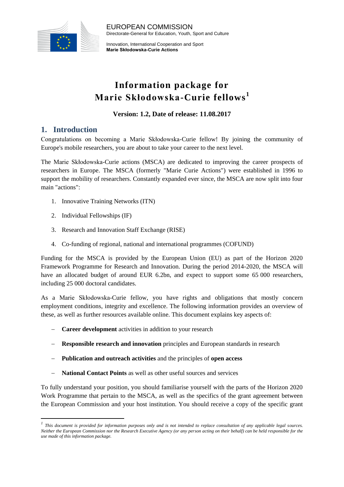

EUROPEAN COMMISSION Directorate-General for Education, Youth, Sport and Culture

Innovation, International Cooperation and Sport **Marie Skłodowska-Curie Actions**

# **Information package for Marie Skłodowska-Curie fellows 1**

**Version: 1.2, Date of release: 11.08.2017**

### **1. Introduction**

**.** 

Congratulations on becoming a Marie Skłodowska-Curie fellow! By joining the community of Europe's mobile researchers, you are about to take your career to the next level.

The Marie Skłodowska-Curie actions (MSCA) are dedicated to improving the career prospects of researchers in Europe. The MSCA (formerly "Marie Curie Actions") were established in 1996 to support the mobility of researchers. Constantly expanded ever since, the MSCA are now split into four main "actions":

- 1. Innovative Training Networks (ITN)
- 2. Individual Fellowships (IF)
- 3. Research and Innovation Staff Exchange (RISE)
- 4. Co-funding of regional, national and international programmes (COFUND)

Funding for the MSCA is provided by the European Union (EU) as part of the Horizon 2020 Framework Programme for Research and Innovation. During the period 2014-2020, the MSCA will have an allocated budget of around EUR 6.2bn, and expect to support some 65 000 researchers, including 25 000 doctoral candidates.

As a Marie Skłodowska-Curie fellow, you have rights and obligations that mostly concern employment conditions, integrity and excellence. The following information provides an overview of these, as well as further resources available online. This document explains key aspects of:

- **Career development** activities in addition to your research
- **Responsible research and innovation** principles and European standards in research
- **Publication and outreach activities** and the principles of **open access**
- **National Contact Points** as well as other useful sources and services

To fully understand your position, you should familiarise yourself with the parts of the Horizon 2020 Work Programme that pertain to the MSCA, as well as the specifics of the grant agreement between the European Commission and your host institution. You should receive a copy of the specific grant

<sup>&</sup>lt;sup>1</sup> This document is provided for information purposes only and is not intended to replace consultation of any applicable legal sources. *Neither the European Commission nor the Research Executive Agency (or any person acting on their behalf) can be held responsible for the use made of this information package.*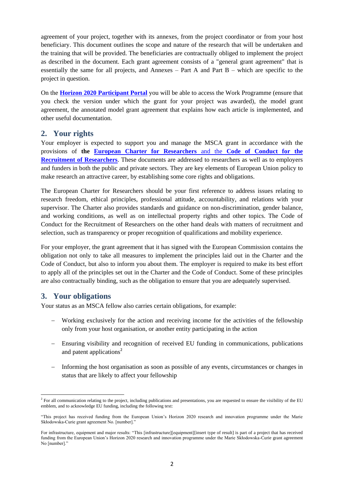agreement of your project, together with its annexes, from the project coordinator or from your host beneficiary. This document outlines the scope and nature of the research that will be undertaken and the training that will be provided. The beneficiaries are contractually obliged to implement the project as described in the document. Each grant agreement consists of a "general grant agreement" that is essentially the same for all projects, and Annexes – Part A and Part B – which are specific to the project in question.

On the **[Horizon 2020 Participant Portal](http://ec.europa.eu/research/participants/portal/desktop/en/home.html)** you will be able to access the Work Programme (ensure that you check the version under which the grant for your project was awarded), the model grant agreement, the annotated model grant agreement that explains how each article is implemented, and other useful documentation.

#### **2. Your rights**

Your employer is expected to support you and manage the MSCA grant in accordance with the provisions of **the [European Charter for Researchers](http://ec.europa.eu/euraxess/index.cfm/rights/europeanCharter)** and the **Code of Conduct for the [Recruitment of Researchers](http://ec.europa.eu/euraxess/index.cfm/rights/europeanCharter)**. These documents are addressed to researchers as well as to employers and funders in both the public and private sectors. They are key elements of European Union policy to make research an attractive career, by establishing some core rights and obligations.

The European Charter for Researchers should be your first reference to address issues relating to research freedom, ethical principles, professional attitude, accountability, and relations with your supervisor. The Charter also provides standards and guidance on non-discrimination, gender balance, and working conditions, as well as on intellectual property rights and other topics. The Code of Conduct for the Recruitment of Researchers on the other hand deals with matters of recruitment and selection, such as transparency or proper recognition of qualifications and mobility experience.

For your employer, the grant agreement that it has signed with the European Commission contains the obligation not only to take all measures to implement the principles laid out in the Charter and the Code of Conduct, but also to inform you about them. The employer is required to make its best effort to apply all of the principles set out in the Charter and the Code of Conduct. Some of these principles are also contractually binding, such as the obligation to ensure that you are adequately supervised.

#### **3. Your obligations**

Your status as an MSCA fellow also carries certain obligations, for example:

- Working exclusively for the action and receiving income for the activities of the fellowship only from your host organisation, or another entity participating in the action
- Ensuring visibility and recognition of received EU funding in communications, publications and patent applications<sup>2</sup>
- Informing the host organisation as soon as possible of any events, circumstances or changes in status that are likely to affect your fellowship

**<sup>.</sup>** <sup>2</sup> For all communication relating to the project, including publications and presentations, you are requested to ensure the visibility of the EU emblem, and to acknowledge EU funding, including the following text:

<sup>&</sup>quot;This project has received funding from the European Union's Horizon 2020 research and innovation programme under the Marie Skłodowska-Curie grant agreement No. [number]."

For infrastructure, equipment and major results: "This [infrastructure][equipment][insert type of result] is part of a project that has received funding from the European Union's Horizon 2020 research and innovation programme under the Marie Skłodowska-Curie grant agreement No [number].'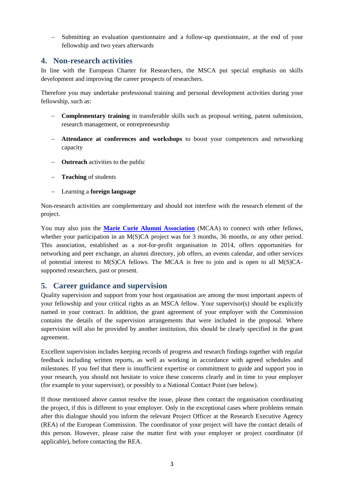Submitting an evaluation questionnaire and a follow-up questionnaire, at the end of your fellowship and two years afterwards

#### **4. Non-research activities**

In line with the European Charter for Researchers, the MSCA put special emphasis on skills development and improving the career prospects of researchers.

Therefore you may undertake professional training and personal development activities during your fellowship, such as:

- **Complementary training** in transferable skills such as proposal writing, patent submission, research management, or entrepreneurship
- **Attendance at conferences and workshops** to boost your competences and networking capacity
- **Outreach** activities to the public
- **Teaching** of students
- Learning a **foreign language**

Non-research activities are complementary and should not interfere with the research element of the project.

You may also join the **[Marie Curie Alumni Association](https://www.mariecuriealumni.eu/)** (MCAA) to connect with other fellows, whether your participation in an M(S)CA project was for 3 months, 36 months, or any other period. This association, established as a not-for-profit organisation in 2014, offers opportunities for networking and peer exchange, an alumni directory, job offers, an events calendar, and other services of potential interest to M(S)CA fellows. The MCAA is free to join and is open to all M(S)CAsupported researchers, past or present.

#### **5. Career guidance and supervision**

Quality supervision and support from your host organisation are among the most important aspects of your fellowship and your critical rights as an MSCA fellow. Your supervisor(s) should be explicitly named in your contract. In addition, the grant agreement of your employer with the Commission contains the details of the supervision arrangements that were included in the proposal. Where supervision will also be provided by another institution, this should be clearly specified in the grant agreement.

Excellent supervision includes keeping records of progress and research findings together with regular feedback including written reports, as well as working in accordance with agreed schedules and milestones. If you feel that there is insufficient expertise or commitment to guide and support you in your research, you should not hesitate to voice these concerns clearly and in time to your employer (for example to your supervisor), or possibly to a National Contact Point (see below).

If those mentioned above cannot resolve the issue, please then contact the organisation coordinating the project, if this is different to your employer. Only in the exceptional cases where problems remain after this dialogue should you inform the relevant Project Officer at the Research Executive Agency (REA) of the European Commission. The coordinator of your project will have the contact details of this person. However, please raise the matter first with your employer or project coordinator (if applicable), before contacting the REA.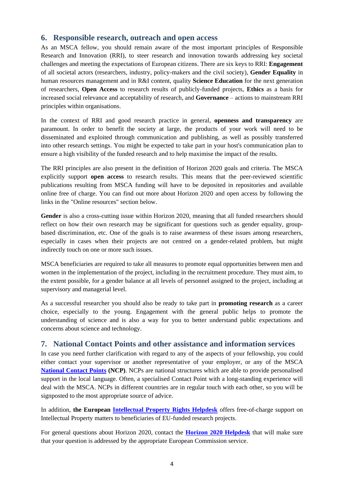#### **6. Responsible research, outreach and open access**

As an MSCA fellow, you should remain aware of the most important principles of Responsible Research and Innovation (RRI), to steer research and innovation towards addressing key societal challenges and meeting the expectations of European citizens. There are six keys to RRI: **Engagement** of all societal actors (researchers, industry, policy-makers and the civil society), **Gender Equality** in human resources management and in R&I content, quality **Science Education** for the next generation of researchers, **Open Access** to research results of publicly-funded projects, **Ethics** as a basis for increased social relevance and acceptability of research, and **Governance** – actions to mainstream RRI principles within organisations.

In the context of RRI and good research practice in general, **openness and transparency** are paramount. In order to benefit the society at large, the products of your work will need to be disseminated and exploited through communication and publishing, as well as possibly transferred into other research settings. You might be expected to take part in your host's communication plan to ensure a high visibility of the funded research and to help maximise the impact of the results.

The RRI principles are also present in the definition of Horizon 2020 goals and criteria. The MSCA explicitly support **open access** to research results. This means that the peer-reviewed scientific publications resulting from MSCA funding will have to be deposited in repositories and available online free of charge. You can find out more about Horizon 2020 and open access by following the links in the "Online resources" section below.

Gender is also a cross-cutting issue within Horizon 2020, meaning that all funded researchers should reflect on how their own research may be significant for questions such as gender equality, groupbased discrimination, etc. One of the goals is to raise awareness of these issues among researchers, especially in cases when their projects are not centred on a gender-related problem, but might indirectly touch on one or more such issues.

MSCA beneficiaries are required to take all measures to promote equal opportunities between men and women in the implementation of the project, including in the recruitment procedure. They must aim, to the extent possible, for a gender balance at all levels of personnel assigned to the project, including at supervisory and managerial level.

As a successful researcher you should also be ready to take part in **promoting research** as a career choice, especially to the young. Engagement with the general public helps to promote the understanding of science and is also a way for you to better understand public expectations and concerns about science and technology.

#### **7. National Contact Points and other assistance and information services**

In case you need further clarification with regard to any of the aspects of your fellowship, you could either contact your supervisor or another representative of your employer, or any of the MSCA **[National Contact Points](http://ec.europa.eu/research/participants/portal/desktop/en/support/national_contact_points.html) (NCP)**. NCPs are national structures which are able to provide personalised support in the local language. Often, a specialised Contact Point with a long-standing experience will deal with the MSCA. NCPs in different countries are in regular touch with each other, so you will be signposted to the most appropriate source of advice.

In addition, **the European [Intellectual Property Rights Helpdesk](https://www.iprhelpdesk.eu/)** offers free-of-charge support on Intellectual Property matters to beneficiaries of EU-funded research projects.

For general questions about Horizon 2020, contact the **[Horizon 2020 Helpdesk](http://ec.europa.eu/research/index.cfm?pg=enquiries)** that will make sure that your question is addressed by the appropriate European Commission service.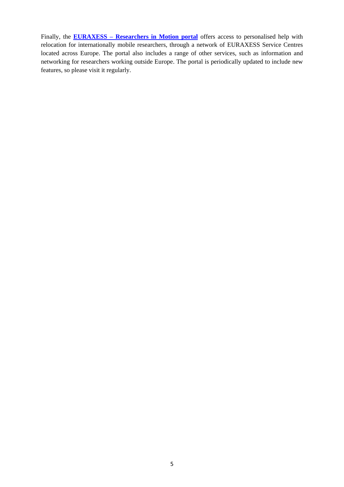Finally, the **EURAXESS – [Researchers in Motion portal](http://ec.europa.eu/euraxess/)** offers access to personalised help with relocation for internationally mobile researchers, through a network of EURAXESS Service Centres located across Europe. The portal also includes a range of other services, such as information and networking for researchers working outside Europe. The portal is periodically updated to include new features, so please visit it regularly.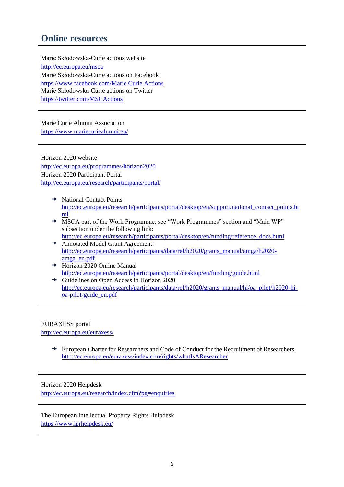## **Online resources**

Marie Skłodowska-Curie actions website <http://ec.europa.eu/msca> Marie Skłodowska-Curie actions on Facebook <https://www.facebook.com/Marie.Curie.Actions> Marie Skłodowska-Curie actions on Twitter <https://twitter.com/MSCActions>

Marie Curie Alumni Association <https://www.mariecuriealumni.eu/>

Horizon 2020 website <http://ec.europa.eu/programmes/horizon2020> Horizon 2020 Participant Portal <http://ec.europa.eu/research/participants/portal/>

- $\rightarrow$  National Contact Points [http://ec.europa.eu/research/participants/portal/desktop/en/support/national\\_contact\\_points.ht](http://ec.europa.eu/research/participants/portal/desktop/en/support/national_contact_points.html) [ml](http://ec.europa.eu/research/participants/portal/desktop/en/support/national_contact_points.html)
- MSCA part of the Work Programme: see "Work Programmes" section and "Main WP" subsection under the following link: [http://ec.europa.eu/research/participants/portal/desktop/en/funding/reference\\_docs.html](http://ec.europa.eu/research/participants/portal/desktop/en/funding/reference_docs.html)
- → Annotated Model Grant Agreement: [http://ec.europa.eu/research/participants/data/ref/h2020/grants\\_manual/amga/h2020](http://ec.europa.eu/research/participants/data/ref/h2020/grants_manual/amga/h2020-amga_en.pdf) [amga\\_en.pdf](http://ec.europa.eu/research/participants/data/ref/h2020/grants_manual/amga/h2020-amga_en.pdf)
- $\rightarrow$  Horizon 2020 Online Manual <http://ec.europa.eu/research/participants/portal/desktop/en/funding/guide.html>
- Guidelines on Open Access in Horizon 2020 [http://ec.europa.eu/research/participants/data/ref/h2020/grants\\_manual/hi/oa\\_pilot/h2020-hi](http://ec.europa.eu/research/participants/data/ref/h2020/grants_manual/hi/oa_pilot/h2020-hi-oa-pilot-guide_en.pdf)[oa-pilot-guide\\_en.pdf](http://ec.europa.eu/research/participants/data/ref/h2020/grants_manual/hi/oa_pilot/h2020-hi-oa-pilot-guide_en.pdf)

#### EURAXESS portal

<http://ec.europa.eu/euraxess/>

European Charter for Researchers and Code of Conduct for the Recruitment of Researchers <http://ec.europa.eu/euraxess/index.cfm/rights/whatIsAResearcher>

## Horizon 2020 Helpdesk

<http://ec.europa.eu/research/index.cfm?pg=enquiries>

The European Intellectual Property Rights Helpdesk <https://www.iprhelpdesk.eu/>